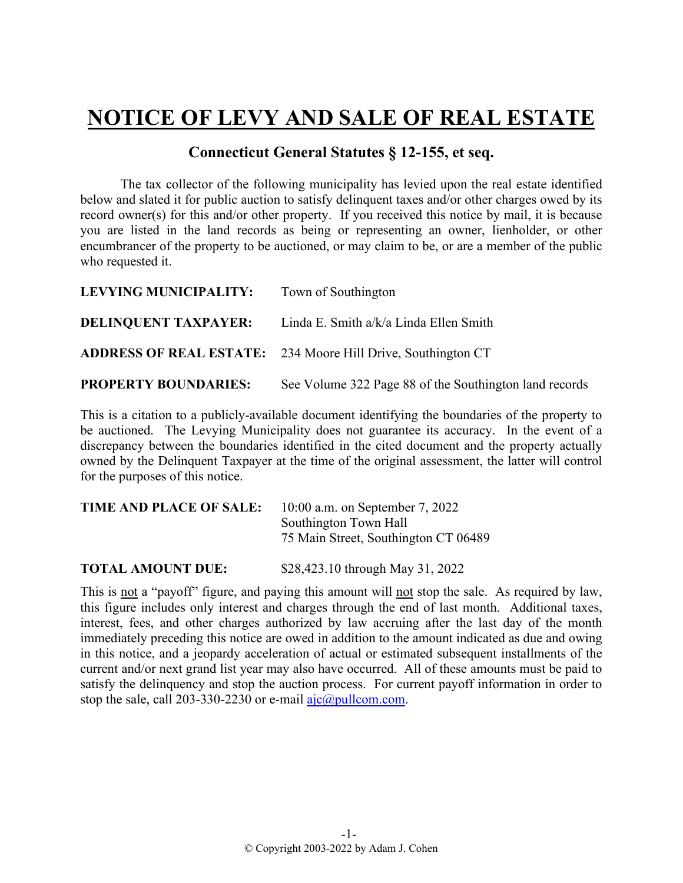## **NOTICE OF LEVY AND SALE OF REAL ESTATE**

## **Connecticut General Statutes § 12-155, et seq.**

The tax collector of the following municipality has levied upon the real estate identified below and slated it for public auction to satisfy delinquent taxes and/or other charges owed by its record owner(s) for this and/or other property. If you received this notice by mail, it is because you are listed in the land records as being or representing an owner, lienholder, or other encumbrancer of the property to be auctioned, or may claim to be, or are a member of the public who requested it.

| <b>LEVYING MUNICIPALITY:</b> | Town of Southington                                                 |
|------------------------------|---------------------------------------------------------------------|
|                              | <b>DELINQUENT TAXPAYER:</b> Linda E. Smith a/k/a Linda Ellen Smith  |
|                              | <b>ADDRESS OF REAL ESTATE:</b> 234 Moore Hill Drive, Southington CT |
| <b>PROPERTY BOUNDARIES:</b>  | See Volume 322 Page 88 of the Southington land records              |

This is a citation to a publicly-available document identifying the boundaries of the property to be auctioned. The Levying Municipality does not guarantee its accuracy. In the event of a discrepancy between the boundaries identified in the cited document and the property actually owned by the Delinquent Taxpayer at the time of the original assessment, the latter will control for the purposes of this notice.

| TIME AND PLACE OF SALE: | $10:00$ a.m. on September 7, 2022    |
|-------------------------|--------------------------------------|
|                         | Southington Town Hall                |
|                         | 75 Main Street, Southington CT 06489 |
|                         |                                      |

**TOTAL AMOUNT DUE:** \$28,423.10 through May 31, 2022

This is not a "payoff" figure, and paying this amount will not stop the sale. As required by law, this figure includes only interest and charges through the end of last month. Additional taxes, interest, fees, and other charges authorized by law accruing after the last day of the month immediately preceding this notice are owed in addition to the amount indicated as due and owing in this notice, and a jeopardy acceleration of actual or estimated subsequent installments of the current and/or next grand list year may also have occurred. All of these amounts must be paid to satisfy the delinquency and stop the auction process. For current payoff information in order to stop the sale, call 203-330-2230 or e-mail  $a$ jc $@p$ ullcom.com.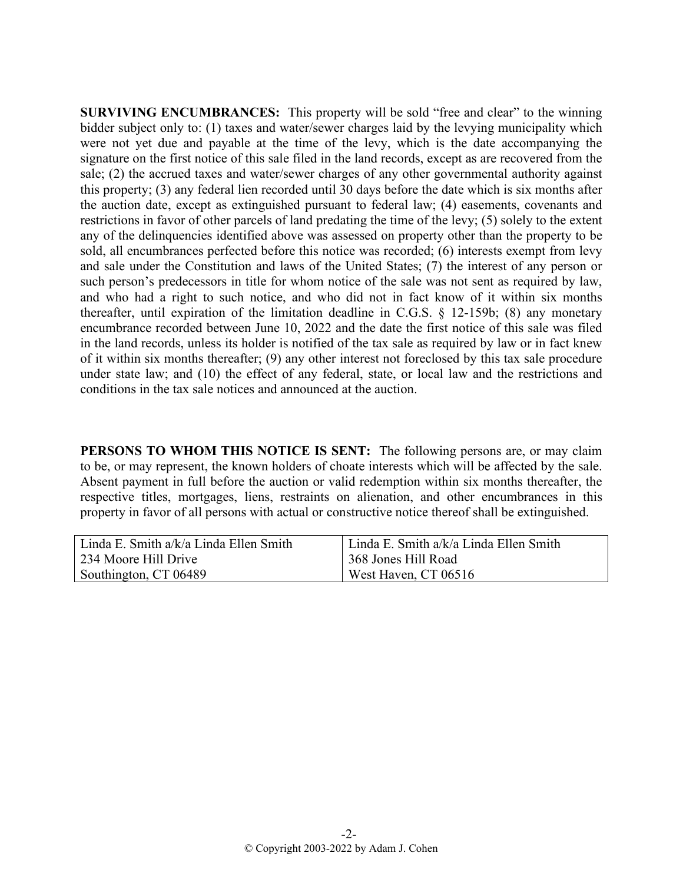**SURVIVING ENCUMBRANCES:** This property will be sold "free and clear" to the winning bidder subject only to: (1) taxes and water/sewer charges laid by the levying municipality which were not yet due and payable at the time of the levy, which is the date accompanying the signature on the first notice of this sale filed in the land records, except as are recovered from the sale; (2) the accrued taxes and water/sewer charges of any other governmental authority against this property; (3) any federal lien recorded until 30 days before the date which is six months after the auction date, except as extinguished pursuant to federal law; (4) easements, covenants and restrictions in favor of other parcels of land predating the time of the levy; (5) solely to the extent any of the delinquencies identified above was assessed on property other than the property to be sold, all encumbrances perfected before this notice was recorded; (6) interests exempt from levy and sale under the Constitution and laws of the United States; (7) the interest of any person or such person's predecessors in title for whom notice of the sale was not sent as required by law, and who had a right to such notice, and who did not in fact know of it within six months thereafter, until expiration of the limitation deadline in C.G.S. § 12-159b; (8) any monetary encumbrance recorded between June 10, 2022 and the date the first notice of this sale was filed in the land records, unless its holder is notified of the tax sale as required by law or in fact knew of it within six months thereafter; (9) any other interest not foreclosed by this tax sale procedure under state law; and (10) the effect of any federal, state, or local law and the restrictions and conditions in the tax sale notices and announced at the auction.

**PERSONS TO WHOM THIS NOTICE IS SENT:** The following persons are, or may claim to be, or may represent, the known holders of choate interests which will be affected by the sale. Absent payment in full before the auction or valid redemption within six months thereafter, the respective titles, mortgages, liens, restraints on alienation, and other encumbrances in this property in favor of all persons with actual or constructive notice thereof shall be extinguished.

| Linda E. Smith $a/k/a$ Linda Ellen Smith | Linda E. Smith a/k/a Linda Ellen Smith |
|------------------------------------------|----------------------------------------|
| 234 Moore Hill Drive                     | 368 Jones Hill Road                    |
| Southington, CT 06489                    | West Haven, CT 06516                   |